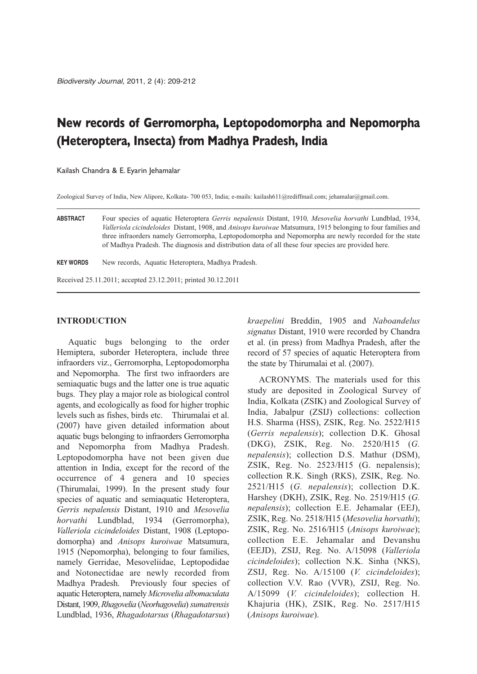# **New records of Gerromorpha, Leptopodomorpha and Nepomorpha (Heteroptera, Insecta) from Madhya Pradesh, India**

Kailash Chandra & E. Eyarin Jehamalar

Zoological Survey of India, New Alipore, Kolkata- 700 053, India; e-mails: kailash611@rediffmail.com; jehamalar@gmail.com.

**ABSTRACT** Four species of aquatic Heteroptera *Gerris nepalensis* Distant, 1910*, Mesovelia horvathi* Lundblad, 1934, *Valleriola cicindeloides* Distant, 1908, and *Anisops kuroiwae* Matsumura, 1915 belonging to four families and three infraorders namely Gerromorpha, Leptopodomorpha and Nepomorpha are newly recorded for the state of Madhya Pradesh. The diagnosis and distribution data of all these four species are provided here.

**KEY WORDS** New records, Aquatic Heteroptera, Madhya Pradesh.

Received 25.11.2011; accepted 23.12.2011; printed 30.12.2011

## **INTRODUCTION**

Aquatic bugs belonging to the order Hemiptera, suborder Heteroptera, include three infraorders viz., Gerromorpha, Leptopodomorpha and Nepomorpha. The first two infraorders are semiaquatic bugs and the latter one is true aquatic bugs. They play a major role as biological control agents, and ecologically as food for higher trophic levels such as fishes, birds etc. Thirumalai et al. (2007) have given detailed information about aquatic bugs belonging to infraorders Gerromorpha and Nepomorpha from Madhya Pradesh. Leptopodomorpha have not been given due attention in India, except for the record of the occurrence of 4 genera and 10 species (Thirumalai, 1999). In the present study four species of aquatic and semiaquatic Heteroptera, *Gerris nepalensis* Distant, 1910 and *Mesovelia horvathi* Lundblad, 1934 (Gerromorpha), *Valleriola cicindeloides Distant, 1908 (Leptopo*domorpha) and *Anisops kuroiwae* Matsumura, 1915 (Nepomorpha), belonging to four families, namely Gerridae, Mesoveliidae, Leptopodidae and Notonectidae are newly recorded from Madhya Pradesh. Previously four species of aquatic Heteroptera, namely *Microvelia albomaculata* Distant, 1909, *Rha govelia* (*Neorhagovelia*)*sumatrensis* Lundblad, 1936, *Rhagadotarsus* (*Rhagadotarsus*) *kraepelini* Breddin, 1905 and *Naboandelus signatus* Distant, 1910 were recorded by Chandra et al. (in press) from Madhya Pradesh, after the record of 57 species of aquatic Heteroptera from the state by Thirumalai et al. (2007).

ACRONYMS. The materials used for this study are deposited in Zoological Survey of India, Kolkata (ZSIK) and Zoological Survey of India, Jabalpur (ZSIJ) collections: collection H.S. Sharma (HSS), ZSIK, Reg. No. 2522/H15 (*Gerris nepalensis*); collection D.K. Ghosal (DKG), ZSIK, Reg. No. 2520/H15 (*G. nepalensis*); collection D.S. Mathur (DSM), ZSIK, Reg. No. 2523/H15 (G. nepalensis); collection R.K. Singh (RKS), ZSIK, Reg. No. 2521/H15 (*G. nepalensis*); collection D.K. Harshey (DKH), ZSIK, Reg. No. 2519/H15 (*G. nepalensis*); collection E.E. Jehamalar (EEJ), ZSIK, Reg. No. 2518/H15 (*Mesovelia horvathi*); ZSIK, Reg. No. 2516/H15 (*Anisops kuroiwae*); collection E.E. Jehamalar and Devanshu (EEJD), ZSIJ, Reg. No. A/15098 (*Valleriola cicindeloides*); collection N.K. Sinha (NKS), ZSIJ, Reg. No. A/15100 (*V. cicindeloides*); collection V.V. Rao (VVR), ZSIJ, Reg. No. A/15099 (*V. cicindeloides*); collection H. Khajuria (HK), ZSIK, Reg. No. 2517/H15 (*Anisops kuroiwae*).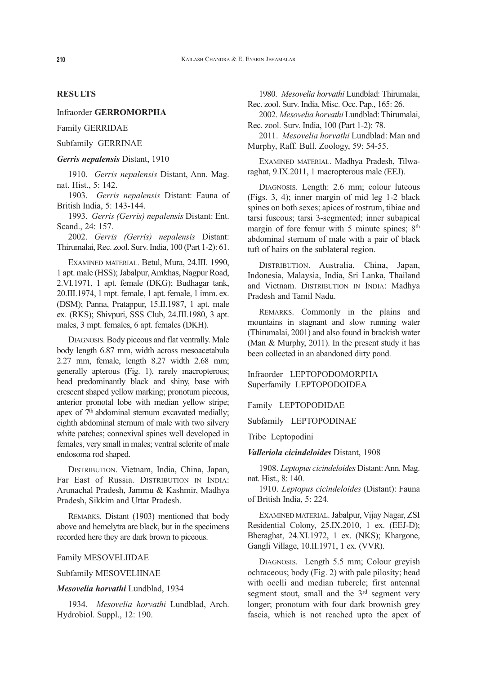## **RESULTS**

## Infraorder **GERROMORPHA**

## Family GERRIDAE

## Subfamily GERRINAE

#### *Gerris nepalensis* Distant, 1910

1910. *Gerris nepalensis* Distant, Ann. Mag. nat. Hist., 5: 142.

1903. *Gerris nepalensis* Distant: Fauna of British India, 5: 143-144.

1993. *Gerris (Gerris) nepalensis* Distant: Ent. Scand., 24: 157.

2002. *Gerris (Gerris) nepalensis* Distant: Thirumalai, Rec. zool. Surv. India, 100 (Part 1-2): 61.

EXAMINED MATERIAL. Betul, Mura, 24.III. 1990, 1 apt. male (HSS); Jabalpur, Amkhas, Nagpur Road, 2.VI.1971, 1 apt. female (DKG); Budhagar tank, 20.III.1974, 1 mpt. female, 1 apt. female, 1 imm. ex. (DSM); Panna, Pratappur, 15.II.1987, 1 apt. male ex. (RKS); Shivpuri, SSS Club, 24.III.1980, 3 apt. males, 3 mpt. females, 6 apt. females (DKH).

DIAGNOSIS. Body piceous and flat ventrally. Male body length 6.87 mm, width across mesoacetabula 2.27 mm, female, length 8.27 width 2.68 mm; generally apterous (Fig. 1), rarely macropterous; head predominantly black and shiny, base with crescent shaped yellow marking; pronotum piceous, anterior pronotal lobe with median yellow stripe; apex of  $7<sup>th</sup>$  abdominal sternum excavated medially; eighth abdominal sternum of male with two silvery white patches; connexival spines well developed in females, very small in males; ventral sclerite of male endosoma rod shaped.

DISTRIBUTION. Vietnam, India, China, Japan, Far East of Russia. DISTRIBUTION IN INDIA: Arunachal Pradesh, Jammu & Kashmir, Madhya Pradesh, Sikkim and Uttar Pradesh.

REMARKS. Distant (1903) mentioned that body above and hemelytra are black, but in the specimens recorded here they are dark brown to piceous.

#### Family MESOVELIIDAE

## Subfamily MESOVELIINAE

## *Mesovelia horvathi* Lundblad, 1934

1934. *Mesovelia horvathi* Lundblad, Arch. Hydrobiol. Suppl., 12: 190.

1980. *Mesovelia horvathi* Lundblad: Thirumalai, Rec. zool. Surv. India, Misc. Occ. Pap., 165: 26.

2002. *Mesovelia horvathi* Lundblad: Thirumalai, Rec. zool. Surv. India, 100 (Part 1-2): 78.

2011. *Mesovelia horvathi* Lundblad: Man and Murphy, Raff. Bull. Zoology, 59: 54-55.

EXAMINED MATERIAL. Madhya Pradesh, Tilwaraghat, 9.IX.2011, 1 macropterous male (EEJ).

DIAGNOSIS. Length: 2.6 mm; colour luteous (Figs. 3, 4); inner margin of mid leg 1-2 black spines on both sexes; apices of rostrum, tibiae and tarsi fuscous; tarsi 3-segmented; inner subapical margin of fore femur with 5 minute spines; 8<sup>th</sup> abdominal sternum of male with a pair of black tuft of hairs on the sublateral region.

DISTRIBUTION. Australia, China, Japan, Indonesia, Malaysia, India, Sri Lanka, Thailand and Vietnam. DISTRIBUTION IN INDIA: Madhya Pradesh and Tamil Nadu.

REMARKS. Commonly in the plains and mountains in stagnant and slow running water (Thirumalai, 2001) and also found in brackish water (Man & Murphy, 2011). In the present study it has been collected in an abandoned dirty pond.

Infraorder LEPTOPODOMORPHA Superfamily LEPTOPODOIDEA

#### Family LEPTOPODIDAE

Subfamily LEPTOPODINAE

Tribe Leptopodini

#### *Valleriola cicindeloides* Distant, 1908

1908. *Leptopus cicindeloides* Distant: Ann. Mag. nat. Hist., 8: 140.

1910. *Leptopus cicindeloides* (Distant): Fauna of British India, 5: 224.

EXAMINED MATERIAL. Jabalpur, Vijay Nagar, ZSI Residential Colony, 25.IX.2010, 1 ex. (EEJ-D); Bheraghat, 24.XI.1972, 1 ex. (NKS); Khargone, Gangli Village, 10.II.1971, 1 ex. (VVR).

DIAGNOSIS. Length 5.5 mm; Colour greyish ochraceous; body (Fig. 2) with pale pilosity; head with ocelli and median tubercle; first antennal segment stout, small and the 3<sup>rd</sup> segment very longer; pronotum with four dark brownish grey fascia, which is not reached upto the apex of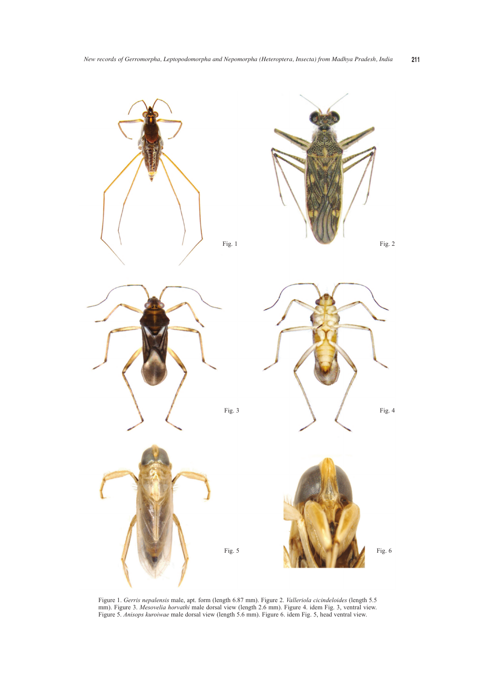

Figure 1. *Gerris nepalensis* male, apt. form (length 6.87 mm). Figure 2. *Valleriola cicindeloides* (length 5.5 mm). Figure 3. *Mesovelia horvathi* male dorsal view (length 2.6 mm). Figure 4. idem Fig. 3, ventral view. Figure 5. *Anisops kuroiwae* male dorsal view (length 5.6 mm). Figure 6. idem Fig. 5, head ventral view.